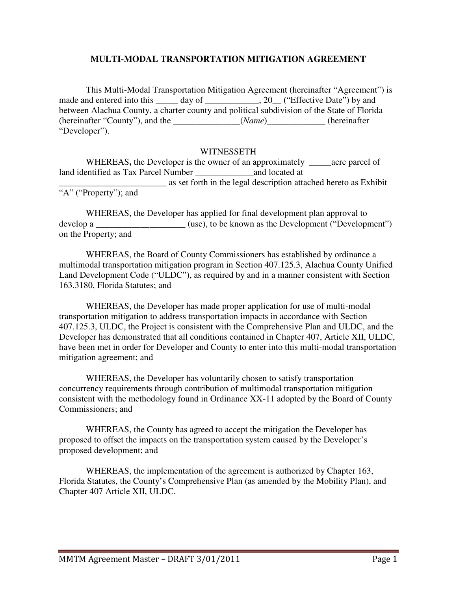# **MULTI-MODAL TRANSPORTATION MITIGATION AGREEMENT**

This Multi-Modal Transportation Mitigation Agreement (hereinafter "Agreement") is made and entered into this \_\_\_\_\_ day of \_\_\_\_\_\_\_\_\_\_\_, 20\_\_ ("Effective Date") by and between Alachua County, a charter county and political subdivision of the State of Florida (hereinafter "County"), and the \_\_\_\_\_\_\_\_\_\_\_\_\_\_\_(*Name*)\_\_\_\_\_\_\_\_\_\_\_\_\_ (hereinafter "Developer").

#### WITNESSETH

WHEREAS**,** the Developer is the owner of an approximately \_\_\_\_\_acre parcel of land identified as Tax Parcel Number and located at \_\_\_\_\_\_\_\_\_\_\_\_\_\_\_\_\_\_\_\_\_\_\_\_ as set forth in the legal description attached hereto as Exhibit "A" ("Property"); and

WHEREAS, the Developer has applied for final development plan approval to develop a  $(use)$ , to be known as the Development ("Development") on the Property; and

WHEREAS, the Board of County Commissioners has established by ordinance a multimodal transportation mitigation program in Section 407.125.3, Alachua County Unified Land Development Code ("ULDC"), as required by and in a manner consistent with Section 163.3180, Florida Statutes; and

WHEREAS, the Developer has made proper application for use of multi-modal transportation mitigation to address transportation impacts in accordance with Section 407.125.3, ULDC, the Project is consistent with the Comprehensive Plan and ULDC, and the Developer has demonstrated that all conditions contained in Chapter 407, Article XII, ULDC, have been met in order for Developer and County to enter into this multi-modal transportation mitigation agreement; and

WHEREAS, the Developer has voluntarily chosen to satisfy transportation concurrency requirements through contribution of multimodal transportation mitigation consistent with the methodology found in Ordinance XX-11 adopted by the Board of County Commissioners; and

WHEREAS, the County has agreed to accept the mitigation the Developer has proposed to offset the impacts on the transportation system caused by the Developer's proposed development; and

WHEREAS, the implementation of the agreement is authorized by Chapter 163, Florida Statutes, the County's Comprehensive Plan (as amended by the Mobility Plan), and Chapter 407 Article XII, ULDC.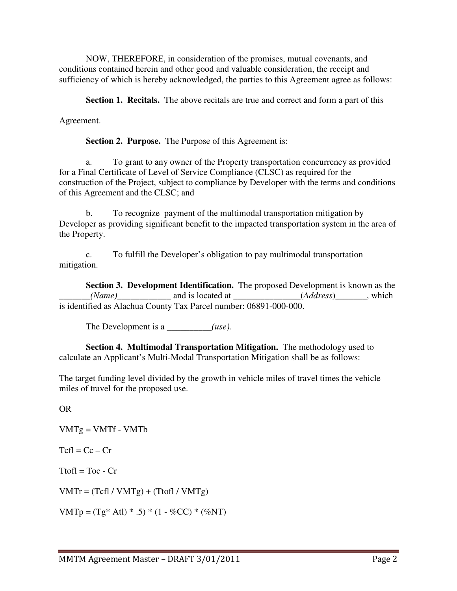NOW, THEREFORE, in consideration of the promises, mutual covenants, and conditions contained herein and other good and valuable consideration, the receipt and sufficiency of which is hereby acknowledged, the parties to this Agreement agree as follows:

**Section 1. Recitals.** The above recitals are true and correct and form a part of this

Agreement.

**Section 2. Purpose.** The Purpose of this Agreement is:

a. To grant to any owner of the Property transportation concurrency as provided for a Final Certificate of Level of Service Compliance (CLSC) as required for the construction of the Project, subject to compliance by Developer with the terms and conditions of this Agreement and the CLSC; and

b. To recognize payment of the multimodal transportation mitigation by Developer as providing significant benefit to the impacted transportation system in the area of the Property.

c. To fulfill the Developer's obligation to pay multimodal transportation mitigation.

 **Section 3. Development Identification.** The proposed Development is known as the *(Name)* and is located at *\_\_\_\_\_\_\_\_\_\_(Address*) \_\_\_\_\_, which is identified as Alachua County Tax Parcel number: 06891-000-000.

The Development is a \_\_\_\_\_\_\_\_*(use).* 

 **Section 4. Multimodal Transportation Mitigation.** The methodology used to calculate an Applicant's Multi-Modal Transportation Mitigation shall be as follows:

The target funding level divided by the growth in vehicle miles of travel times the vehicle miles of travel for the proposed use.

OR

 $VMTg = VMTf - VMTb$ 

 $Tcfl = Cc - Cr$ 

 $Ttofl = Toc - Cr$ 

 $VMTr = (Tcfl / VMTg) + (Ttofl / VMTg)$ 

 $VMTp = (Tg * Atl) * .5) * (1 - %CC) * (%NT)$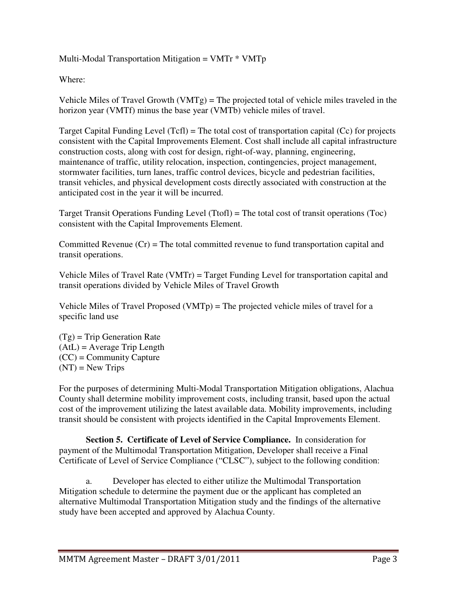# Multi-Modal Transportation Mitigation =  $VMTr * VMTp$

Where:

Vehicle Miles of Travel Growth (VMTg) = The projected total of vehicle miles traveled in the horizon year (VMTf) minus the base year (VMTb) vehicle miles of travel.

Target Capital Funding Level (Tcfl) = The total cost of transportation capital (Cc) for projects consistent with the Capital Improvements Element. Cost shall include all capital infrastructure construction costs, along with cost for design, right-of-way, planning, engineering, maintenance of traffic, utility relocation, inspection, contingencies, project management, stormwater facilities, turn lanes, traffic control devices, bicycle and pedestrian facilities, transit vehicles, and physical development costs directly associated with construction at the anticipated cost in the year it will be incurred.

Target Transit Operations Funding Level (Ttofl) = The total cost of transit operations (Toc) consistent with the Capital Improvements Element.

Committed Revenue  $(Cr)$  = The total committed revenue to fund transportation capital and transit operations.

Vehicle Miles of Travel Rate (VMTr) = Target Funding Level for transportation capital and transit operations divided by Vehicle Miles of Travel Growth

Vehicle Miles of Travel Proposed (VMTp) = The projected vehicle miles of travel for a specific land use

 $(Tg)$  = Trip Generation Rate  $(AtL) = Average Trip Length$ (CC) = Community Capture  $(NT)$  = New Trips

For the purposes of determining Multi-Modal Transportation Mitigation obligations, Alachua County shall determine mobility improvement costs, including transit, based upon the actual cost of the improvement utilizing the latest available data. Mobility improvements, including transit should be consistent with projects identified in the Capital Improvements Element.

 **Section 5. Certificate of Level of Service Compliance.** In consideration for payment of the Multimodal Transportation Mitigation, Developer shall receive a Final Certificate of Level of Service Compliance ("CLSC"), subject to the following condition:

a. Developer has elected to either utilize the Multimodal Transportation Mitigation schedule to determine the payment due or the applicant has completed an alternative Multimodal Transportation Mitigation study and the findings of the alternative study have been accepted and approved by Alachua County.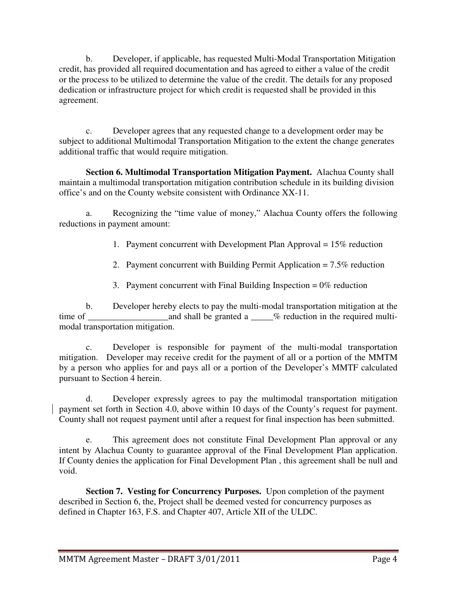b. Developer, if applicable, has requested Multi-Modal Transportation Mitigation credit, has provided all required documentation and has agreed to either a value of the credit or the process to be utilized to determine the value of the credit. The details for any proposed dedication or infrastructure project for which credit is requested shall be provided in this agreement.

c. Developer agrees that any requested change to a development order may be subject to additional Multimodal Transportation Mitigation to the extent the change generates additional traffic that would require mitigation.

 **Section 6. Multimodal Transportation Mitigation Payment.** Alachua County shall maintain a multimodal transportation mitigation contribution schedule in its building division office's and on the County website consistent with Ordinance XX-11.

a. Recognizing the "time value of money," Alachua County offers the following reductions in payment amount:

1. Payment concurrent with Development Plan Approval = 15% reduction

2. Payment concurrent with Building Permit Application = 7.5% reduction

3. Payment concurrent with Final Building Inspection  $= 0\%$  reduction

b. Developer hereby elects to pay the multi-modal transportation mitigation at the time of \_\_\_\_\_\_\_\_\_\_\_\_\_\_\_\_\_\_and shall be granted a \_\_\_\_\_% reduction in the required multimodal transportation mitigation.

c. Developer is responsible for payment of the multi-modal transportation mitigation. Developer may receive credit for the payment of all or a portion of the MMTM by a person who applies for and pays all or a portion of the Developer's MMTF calculated pursuant to Section 4 herein.

d. Developer expressly agrees to pay the multimodal transportation mitigation payment set forth in Section 4.0, above within 10 days of the County's request for payment. County shall not request payment until after a request for final inspection has been submitted.

e. This agreement does not constitute Final Development Plan approval or any intent by Alachua County to guarantee approval of the Final Development Plan application. If County denies the application for Final Development Plan , this agreement shall be null and void.

 **Section 7. Vesting for Concurrency Purposes.** Upon completion of the payment described in Section 6, the, Project shall be deemed vested for concurrency purposes as defined in Chapter 163, F.S. and Chapter 407, Article XII of the ULDC.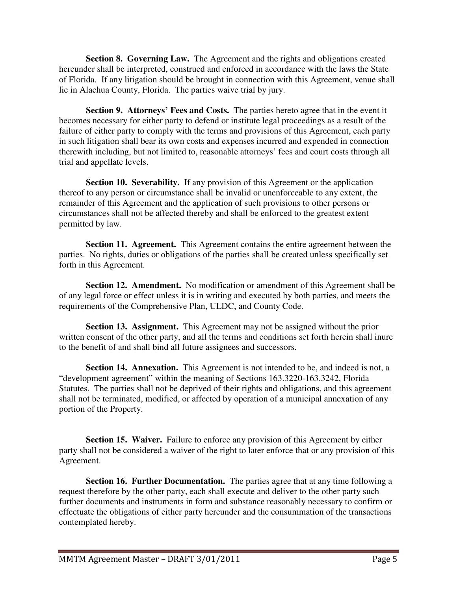**Section 8. Governing Law.** The Agreement and the rights and obligations created hereunder shall be interpreted, construed and enforced in accordance with the laws the State of Florida. If any litigation should be brought in connection with this Agreement, venue shall lie in Alachua County, Florida. The parties waive trial by jury.

**Section 9. Attorneys' Fees and Costs.** The parties hereto agree that in the event it becomes necessary for either party to defend or institute legal proceedings as a result of the failure of either party to comply with the terms and provisions of this Agreement, each party in such litigation shall bear its own costs and expenses incurred and expended in connection therewith including, but not limited to, reasonable attorneys' fees and court costs through all trial and appellate levels.

**Section 10. Severability.** If any provision of this Agreement or the application thereof to any person or circumstance shall be invalid or unenforceable to any extent, the remainder of this Agreement and the application of such provisions to other persons or circumstances shall not be affected thereby and shall be enforced to the greatest extent permitted by law.

**Section 11. Agreement.** This Agreement contains the entire agreement between the parties. No rights, duties or obligations of the parties shall be created unless specifically set forth in this Agreement.

**Section 12. Amendment.** No modification or amendment of this Agreement shall be of any legal force or effect unless it is in writing and executed by both parties, and meets the requirements of the Comprehensive Plan, ULDC, and County Code.

**Section 13. Assignment.** This Agreement may not be assigned without the prior written consent of the other party, and all the terms and conditions set forth herein shall inure to the benefit of and shall bind all future assignees and successors.

 **Section 14. Annexation.** This Agreement is not intended to be, and indeed is not, a "development agreement" within the meaning of Sections 163.3220-163.3242, Florida Statutes. The parties shall not be deprived of their rights and obligations, and this agreement shall not be terminated, modified, or affected by operation of a municipal annexation of any portion of the Property.

**Section 15. Waiver.** Failure to enforce any provision of this Agreement by either party shall not be considered a waiver of the right to later enforce that or any provision of this Agreement.

**Section 16. Further Documentation.** The parties agree that at any time following a request therefore by the other party, each shall execute and deliver to the other party such further documents and instruments in form and substance reasonably necessary to confirm or effectuate the obligations of either party hereunder and the consummation of the transactions contemplated hereby.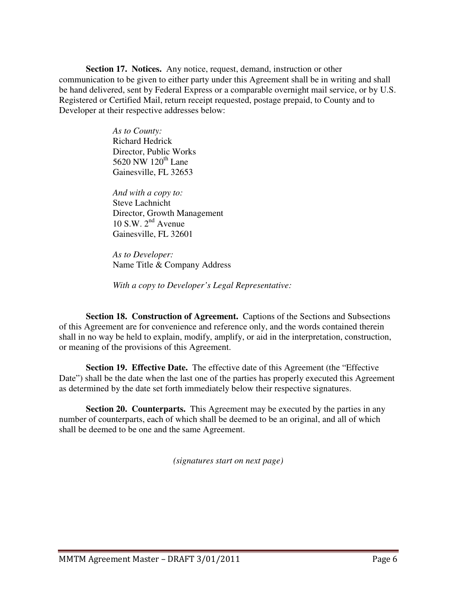**Section 17. Notices.** Any notice, request, demand, instruction or other communication to be given to either party under this Agreement shall be in writing and shall be hand delivered, sent by Federal Express or a comparable overnight mail service, or by U.S. Registered or Certified Mail, return receipt requested, postage prepaid, to County and to Developer at their respective addresses below:

> *As to County:*  Richard Hedrick Director, Public Works 5620 NW  $120^{th}$  Lane Gainesville, FL 32653

*And with a copy to:*  Steve Lachnicht Director, Growth Management 10 S.W.  $2^{nd}$  Avenue Gainesville, FL 32601

*As to Developer:*  Name Title & Company Address

*With a copy to Developer's Legal Representative:* 

**Section 18. Construction of Agreement.** Captions of the Sections and Subsections of this Agreement are for convenience and reference only, and the words contained therein shall in no way be held to explain, modify, amplify, or aid in the interpretation, construction, or meaning of the provisions of this Agreement.

 **Section 19. Effective Date.** The effective date of this Agreement (the "Effective Date") shall be the date when the last one of the parties has properly executed this Agreement as determined by the date set forth immediately below their respective signatures.

**Section 20. Counterparts.** This Agreement may be executed by the parties in any number of counterparts, each of which shall be deemed to be an original, and all of which shall be deemed to be one and the same Agreement.

*(signatures start on next page)*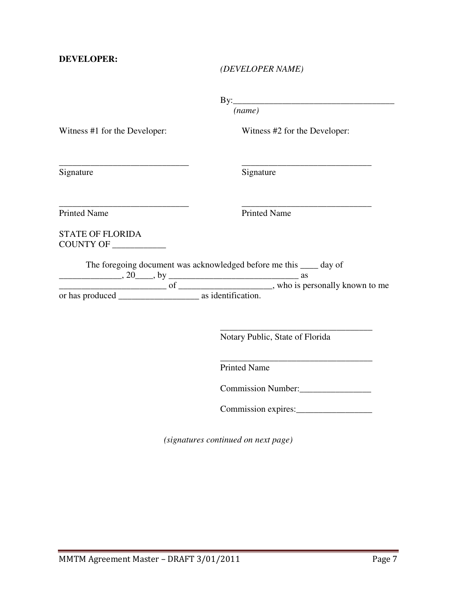#### *(DEVELOPER NAME)*

By:\_\_\_\_\_\_\_\_\_\_\_\_\_\_\_\_\_\_\_\_\_\_\_\_\_\_\_\_\_\_\_\_\_\_\_\_

*(name)*

Witness #1 for the Developer:

\_\_\_\_\_\_\_\_\_\_\_\_\_\_\_\_\_\_\_\_\_\_\_\_\_\_\_\_\_

\_\_\_\_\_\_\_\_\_\_\_\_\_\_\_\_\_\_\_\_\_\_\_\_\_\_\_\_\_

Witness #2 for the Developer:

\_\_\_\_\_\_\_\_\_\_\_\_\_\_\_\_\_\_\_\_\_\_\_\_\_\_\_\_\_

Signature

Signature

Printed Name

\_\_\_\_\_\_\_\_\_\_\_\_\_\_\_\_\_\_\_\_\_\_\_\_\_\_\_\_\_ Printed Name

STATE OF FLORIDA COUNTY OF \_\_\_\_\_\_\_\_\_\_\_\_

The foregoing document was acknowledged before me this \_\_\_\_ day of

 $\frac{1}{20}$ , 20  $\frac{1}{20}$ , by  $\frac{1}{20}$  as \_\_\_\_\_\_\_\_\_\_\_\_\_\_\_\_\_\_\_\_\_\_\_\_ of \_\_\_\_\_\_\_\_\_\_\_\_\_\_\_\_\_\_\_\_\_, who is personally known to me or has produced \_\_\_\_\_\_\_\_\_\_\_\_\_\_\_\_\_\_ as identification.

 $\overline{\phantom{a}}$  , which is a set of the set of the set of the set of the set of the set of the set of the set of the set of the set of the set of the set of the set of the set of the set of the set of the set of the set of th Notary Public, State of Florida

 $\overline{\phantom{a}}$  , which is a set of the set of the set of the set of the set of the set of the set of the set of the set of the set of the set of the set of the set of the set of the set of the set of the set of the set of th Printed Name

Commission Number:\_\_\_\_\_\_\_\_\_\_\_\_\_\_\_\_

Commission expires:\_\_\_\_\_\_\_\_\_\_\_\_\_\_\_\_\_

*(signatures continued on next page)*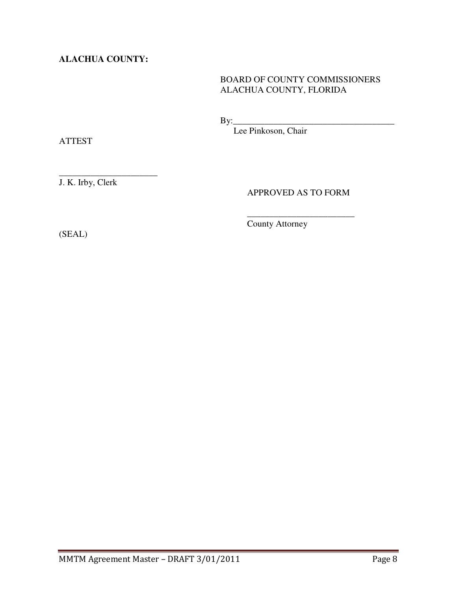**ALACHUA COUNTY:** 

# BOARD OF COUNTY COMMISSIONERS ALACHUA COUNTY, FLORIDA

By:\_\_\_\_\_\_\_\_\_\_\_\_\_\_\_\_\_\_\_\_\_\_\_\_\_\_\_\_\_\_\_\_\_\_\_\_

Lee Pinkoson, Chair

ATTEST

\_\_\_\_\_\_\_\_\_\_\_\_\_\_\_\_\_\_\_\_\_\_ J. K. Irby, Clerk

### APPROVED AS TO FORM

\_\_\_\_\_\_\_\_\_\_\_\_\_\_\_\_\_\_\_\_\_\_\_\_

(SEAL)

County Attorney